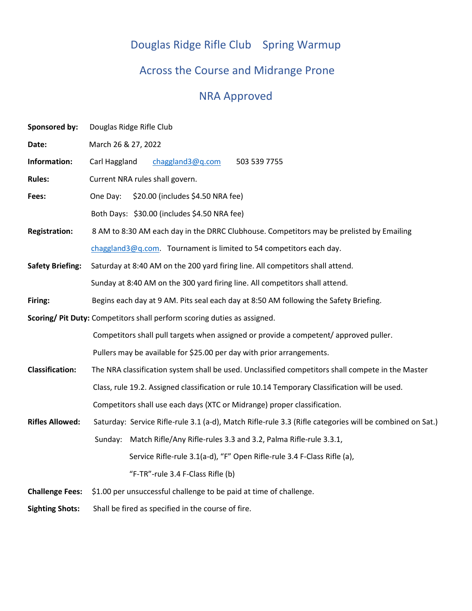# Douglas Ridge Rifle Club Spring Warmup

## Across the Course and Midrange Prone

## NRA Approved

| <b>Sponsored by:</b>                                                     | Douglas Ridge Rifle Club                                                                                 |  |  |  |
|--------------------------------------------------------------------------|----------------------------------------------------------------------------------------------------------|--|--|--|
| Date:                                                                    | March 26 & 27, 2022                                                                                      |  |  |  |
| Information:                                                             | Carl Haggland<br>chaggland3@q.com<br>503 539 7755                                                        |  |  |  |
| <b>Rules:</b>                                                            | Current NRA rules shall govern.                                                                          |  |  |  |
| Fees:                                                                    | \$20.00 (includes \$4.50 NRA fee)<br>One Day:                                                            |  |  |  |
|                                                                          | Both Days: \$30.00 (includes \$4.50 NRA fee)                                                             |  |  |  |
| <b>Registration:</b>                                                     | 8 AM to 8:30 AM each day in the DRRC Clubhouse. Competitors may be prelisted by Emailing                 |  |  |  |
|                                                                          | chaggland3@q.com. Tournament is limited to 54 competitors each day.                                      |  |  |  |
| <b>Safety Briefing:</b>                                                  | Saturday at 8:40 AM on the 200 yard firing line. All competitors shall attend.                           |  |  |  |
|                                                                          | Sunday at 8:40 AM on the 300 yard firing line. All competitors shall attend.                             |  |  |  |
| Firing:                                                                  | Begins each day at 9 AM. Pits seal each day at 8:50 AM following the Safety Briefing.                    |  |  |  |
| Scoring/ Pit Duty: Competitors shall perform scoring duties as assigned. |                                                                                                          |  |  |  |
|                                                                          | Competitors shall pull targets when assigned or provide a competent/approved puller.                     |  |  |  |
|                                                                          | Pullers may be available for \$25.00 per day with prior arrangements.                                    |  |  |  |
| <b>Classification:</b>                                                   | The NRA classification system shall be used. Unclassified competitors shall compete in the Master        |  |  |  |
|                                                                          | Class, rule 19.2. Assigned classification or rule 10.14 Temporary Classification will be used.           |  |  |  |
|                                                                          | Competitors shall use each days (XTC or Midrange) proper classification.                                 |  |  |  |
| <b>Rifles Allowed:</b>                                                   | Saturday: Service Rifle-rule 3.1 (a-d), Match Rifle-rule 3.3 (Rifle categories will be combined on Sat.) |  |  |  |
|                                                                          | Sunday: Match Rifle/Any Rifle-rules 3.3 and 3.2, Palma Rifle-rule 3.3.1,                                 |  |  |  |
|                                                                          | Service Rifle-rule 3.1(a-d), "F" Open Rifle-rule 3.4 F-Class Rifle (a),                                  |  |  |  |
|                                                                          | "F-TR"-rule 3.4 F-Class Rifle (b)                                                                        |  |  |  |
| <b>Challenge Fees:</b>                                                   | \$1.00 per unsuccessful challenge to be paid at time of challenge.                                       |  |  |  |
| <b>Sighting Shots:</b>                                                   | Shall be fired as specified in the course of fire.                                                       |  |  |  |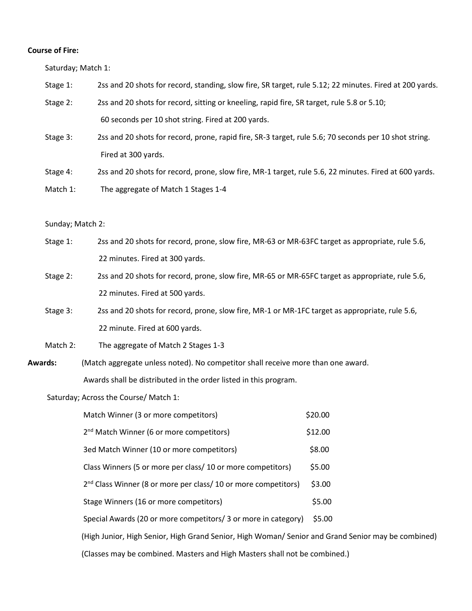#### **Course of Fire:**

Saturday; Match 1:

- Stage 1: 2ss and 20 shots for record, standing, slow fire, SR target, rule 5.12; 22 minutes. Fired at 200 yards.
- Stage 2: 2ss and 20 shots for record, sitting or kneeling, rapid fire, SR target, rule 5.8 or 5.10; 60 seconds per 10 shot string. Fired at 200 yards.
- Stage 3: 2ss and 20 shots for record, prone, rapid fire, SR-3 target, rule 5.6; 70 seconds per 10 shot string. Fired at 300 yards.
- Stage 4: 2ss and 20 shots for record, prone, slow fire, MR-1 target, rule 5.6, 22 minutes. Fired at 600 yards.
- Match 1: The aggregate of Match 1 Stages 1-4

#### Sunday; Match 2:

- Stage 1: 2ss and 20 shots for record, prone, slow fire, MR-63 or MR-63FC target as appropriate, rule 5.6, 22 minutes. Fired at 300 yards.
- Stage 2: 2ss and 20 shots for record, prone, slow fire, MR-65 or MR-65FC target as appropriate, rule 5.6, 22 minutes. Fired at 500 yards.
- Stage 3: 2ss and 20 shots for record, prone, slow fire, MR-1 or MR-1FC target as appropriate, rule 5.6, 22 minute. Fired at 600 yards.
- Match 2: The aggregate of Match 2 Stages 1-3
- **Awards:** (Match aggregate unless noted). No competitor shall receive more than one award. Awards shall be distributed in the order listed in this program.

Saturday; Across the Course/ Match 1:

| Match Winner (3 or more competitors)                                                               | \$20.00 |
|----------------------------------------------------------------------------------------------------|---------|
| 2 <sup>nd</sup> Match Winner (6 or more competitors)                                               | \$12.00 |
| 3ed Match Winner (10 or more competitors)                                                          | \$8.00  |
| Class Winners (5 or more per class/ 10 or more competitors)                                        | \$5.00  |
| 2 <sup>nd</sup> Class Winner (8 or more per class/ 10 or more competitors)                         | \$3.00  |
| Stage Winners (16 or more competitors)                                                             | \$5.00  |
| Special Awards (20 or more competitors/ 3 or more in category)                                     | \$5.00  |
| (High Junior, High Senior, High Grand Senior, High Woman/ Senior and Grand Senior may be combined) |         |
| (Classes may be combined. Masters and High Masters shall not be combined.)                         |         |